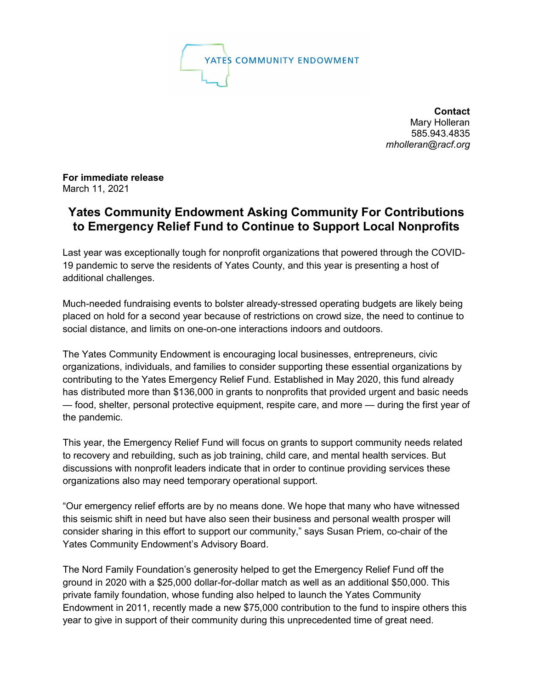

**Contact** Mary Holleran 585.943.4835 *mholleran@racf.org*

**For immediate release** March 11, 2021

## **Yates Community Endowment Asking Community For Contributions to Emergency Relief Fund to Continue to Support Local Nonprofits**

Last year was exceptionally tough for nonprofit organizations that powered through the COVID-19 pandemic to serve the residents of Yates County, and this year is presenting a host of additional challenges.

Much-needed fundraising events to bolster already-stressed operating budgets are likely being placed on hold for a second year because of restrictions on crowd size, the need to continue to social distance, and limits on one-on-one interactions indoors and outdoors.

The Yates Community Endowment is encouraging local businesses, entrepreneurs, civic organizations, individuals, and families to consider supporting these essential organizations by contributing to the Yates Emergency Relief Fund. Established in May 2020, this fund already has distributed more than \$136,000 in grants to nonprofits that provided urgent and basic needs — food, shelter, personal protective equipment, respite care, and more — during the first year of the pandemic.

This year, the Emergency Relief Fund will focus on grants to support community needs related to recovery and rebuilding, such as job training, child care, and mental health services. But discussions with nonprofit leaders indicate that in order to continue providing services these organizations also may need temporary operational support.

"Our emergency relief efforts are by no means done. We hope that many who have witnessed this seismic shift in need but have also seen their business and personal wealth prosper will consider sharing in this effort to support our community," says Susan Priem, co-chair of the Yates Community Endowment's Advisory Board.

The Nord Family Foundation's generosity helped to get the Emergency Relief Fund off the ground in 2020 with a \$25,000 dollar-for-dollar match as well as an additional \$50,000. This private family foundation, whose funding also helped to launch the Yates Community Endowment in 2011, recently made a new \$75,000 contribution to the fund to inspire others this year to give in support of their community during this unprecedented time of great need.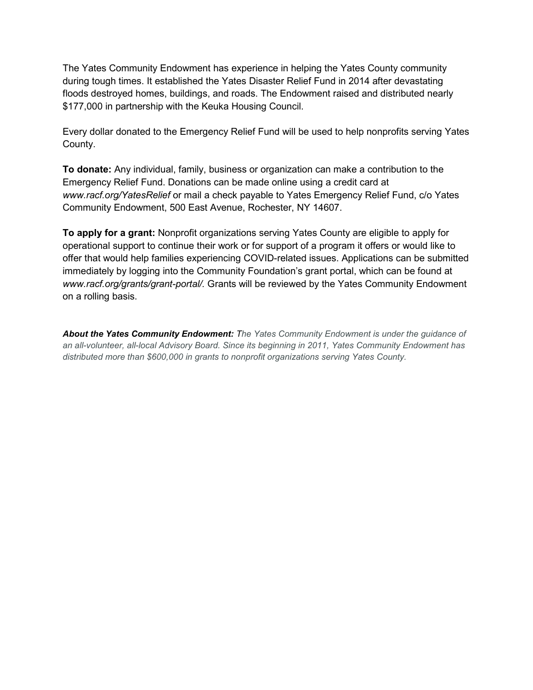The Yates Community Endowment has experience in helping the Yates County community during tough times. It established the Yates Disaster Relief Fund in 2014 after devastating floods destroyed homes, buildings, and roads. The Endowment raised and distributed nearly \$177,000 in partnership with the Keuka Housing Council.

Every dollar donated to the Emergency Relief Fund will be used to help nonprofits serving Yates County.

**To donate:** Any individual, family, business or organization can make a contribution to the Emergency Relief Fund. Donations can be made online using a credit card at *[www.racf.org/YatesRelief](http://www.racf.org/YatesRelief)* or mail a check payable to Yates Emergency Relief Fund, c/o Yates Community Endowment, 500 East Avenue, Rochester, NY 14607.

**To apply for a grant:** Nonprofit organizations serving Yates County are eligible to apply for operational support to continue their work or for support of a program it offers or would like to offer that would help families experiencing COVID-related issues. Applications can be submitted immediately by logging into the Community Foundation's grant portal, which can be found at *www.racf.org/grants/grant-portal/.* Grants will be reviewed by the Yates Community Endowment on a rolling basis.

*About the Yates Community Endowment: The Yates Community Endowment is under the guidance of an all-volunteer, all-local Advisory Board. Since its beginning in 2011, Yates Community Endowment has distributed more than \$600,000 in grants to nonprofit organizations serving Yates County.*